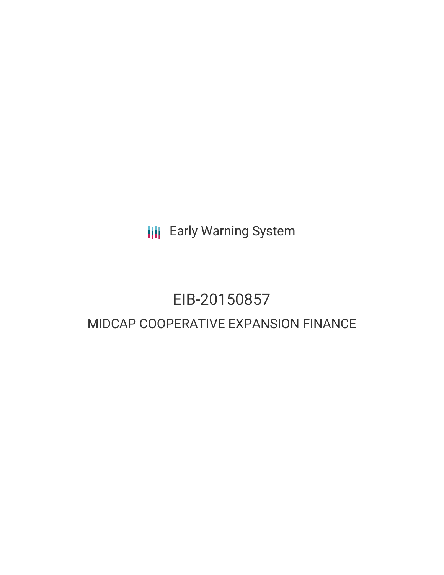**III** Early Warning System

# EIB-20150857 MIDCAP COOPERATIVE EXPANSION FINANCE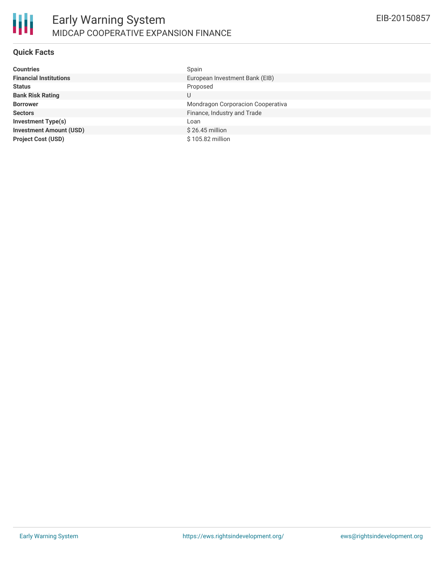

### **Quick Facts**

| <b>Countries</b>               | Spain                             |
|--------------------------------|-----------------------------------|
| <b>Financial Institutions</b>  | European Investment Bank (EIB)    |
| <b>Status</b>                  | Proposed                          |
| <b>Bank Risk Rating</b>        | U                                 |
| <b>Borrower</b>                | Mondragon Corporacion Cooperativa |
| <b>Sectors</b>                 | Finance, Industry and Trade       |
| <b>Investment Type(s)</b>      | Loan                              |
| <b>Investment Amount (USD)</b> | $$26.45$ million                  |
| <b>Project Cost (USD)</b>      | \$105.82 million                  |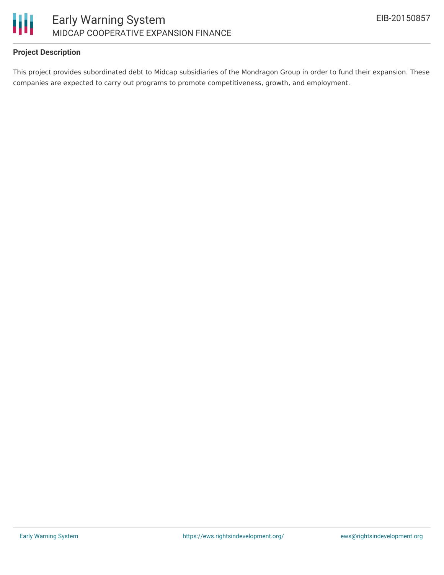

## **Project Description**

This project provides subordinated debt to Midcap subsidiaries of the Mondragon Group in order to fund their expansion. These companies are expected to carry out programs to promote competitiveness, growth, and employment.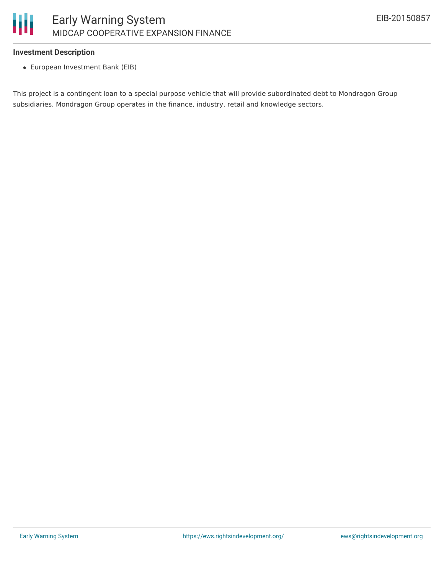

### **Investment Description**

European Investment Bank (EIB)

This project is a contingent loan to a special purpose vehicle that will provide subordinated debt to Mondragon Group subsidiaries. Mondragon Group operates in the finance, industry, retail and knowledge sectors.